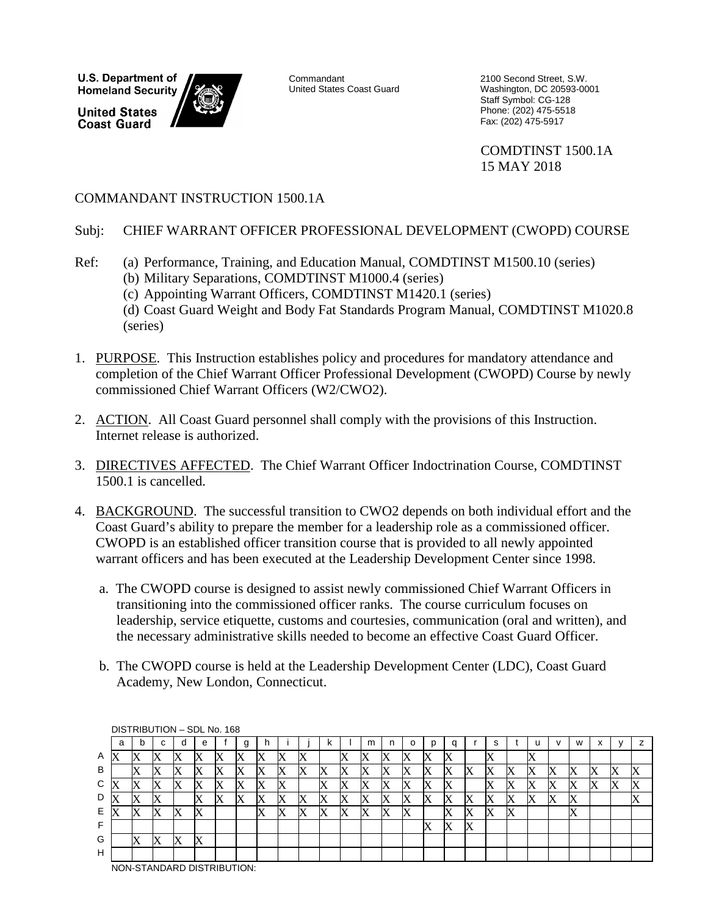**U.S. Department of Homeland Security** 

**United States Coast Guard** 



Commandant United States Coast Guard 2100 Second Street, S.W. Washington, DC 20593-0001 Staff Symbol: CG-128 Phone: (202) 475-5518 Fax: (202) 475-5917

COMDTINST 1500.1A 15 MAY 2018

# COMMANDANT INSTRUCTION 1500.1A

## Subj: CHIEF WARRANT OFFICER PROFESSIONAL DEVELOPMENT (CWOPD) COURSE

- Ref: (a) Performance, Training, and Education Manual, COMDTINST M1500.10 (series) (b) Military Separations, COMDTINST M1000.4 (series)
	- (c) Appointing Warrant Officers, COMDTINST M1420.1 (series)

(d) Coast Guard Weight and Body Fat Standards Program Manual, COMDTINST M1020.8 (series)

- 1. PURPOSE. This Instruction establishes policy and procedures for mandatory attendance and completion of the Chief Warrant Officer Professional Development (CWOPD) Course by newly commissioned Chief Warrant Officers (W2/CWO2).
- 2. ACTION. All Coast Guard personnel shall comply with the provisions of this Instruction. Internet release is authorized.
- 3. DIRECTIVES AFFECTED. The Chief Warrant Officer Indoctrination Course, COMDTINST 1500.1 is cancelled.
- 4. BACKGROUND. The successful transition to CWO2 depends on both individual effort and the Coast Guard's ability to prepare the member for a leadership role as a commissioned officer. CWOPD is an established officer transition course that is provided to all newly appointed warrant officers and has been executed at the Leadership Development Center since 1998.
	- a. The CWOPD course is designed to assist newly commissioned Chief Warrant Officers in transitioning into the commissioned officer ranks. The course curriculum focuses on leadership, service etiquette, customs and courtesies, communication (oral and written), and the necessary administrative skills needed to become an effective Coast Guard Officer.
	- b. The CWOPD course is held at the Leadership Development Center (LDC), Coast Guard Academy, New London, Connecticut.

|   | DISTRIBUTION - SDL No. 168 |    |             |   |   |                                |   |        |   |   |   |    |   |    |   |   |   |   |    |   |   |   |               |                           |   |   |
|---|----------------------------|----|-------------|---|---|--------------------------------|---|--------|---|---|---|----|---|----|---|---|---|---|----|---|---|---|---------------|---------------------------|---|---|
|   | a                          | b  | $\sim$<br>u | C | е |                                | g |        |   |   | ĸ |    | m |    | о |   | a |   | s  |   |   |   | w             | $\mathbf{v}$<br>$\lambda$ |   |   |
| Α | X                          | ΙX | ∧           |   |   |                                | A | Х      |   | △ |   |    | ⊿ |    | X | Х | Δ |   | △  |   | W |   |               |                           |   |   |
| B |                            |    | Х           |   |   |                                | A | X      | Х | Х |   | ΙX | X |    | л | Х | Х | Λ |    |   | Х | Δ | Χ             |                           | △ | ⊿ |
| C | ∧                          | Х  | Х           |   |   |                                | Х | X      |   |   |   | Х  | Χ |    | X | X | ↗ |   |    | ∆ | X | ∧ | Χ             |                           | Х | Ø |
| D |                            |    | W           |   |   | ∆                              | Х | Х      |   | Х |   |    | Х |    | X | Χ | Х | X |    | ∆ | Х | ∧ | X             |                           |   |   |
| Е | X                          | Χ  | Х           |   |   |                                |   | v<br>л | Χ | Х |   | Х  | Χ | lΔ | Х |   |   | Δ | lΔ | ឹ |   |   | v<br>$\Delta$ |                           |   |   |
| F |                            |    |             |   |   |                                |   |        |   |   |   |    |   |    |   | X | Х | X |    |   |   |   |               |                           |   |   |
| G |                            |    | Х           | Х |   |                                |   |        |   |   |   |    |   |    |   |   |   |   |    |   |   |   |               |                           |   |   |
| H |                            |    |             |   |   |                                |   |        |   |   |   |    |   |    |   |   |   |   |    |   |   |   |               |                           |   |   |
|   |                            |    |             |   |   | 1011.0711010100000000000000001 |   |        |   |   |   |    |   |    |   |   |   |   |    |   |   |   |               |                           |   |   |

NON-STANDARD DISTRIBUTION: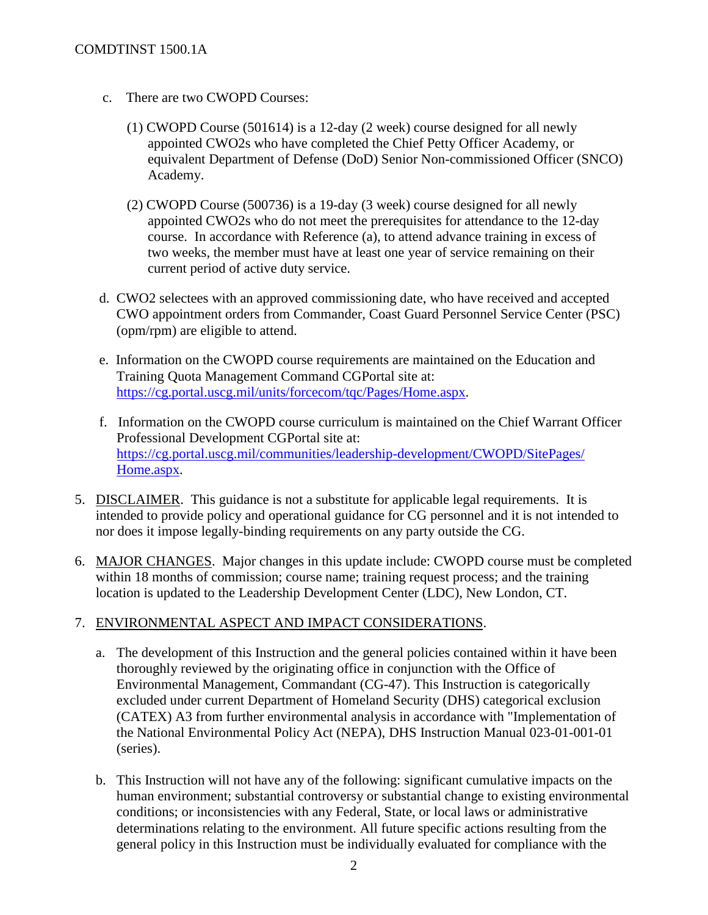## COMDTINST 1500.1A

- c. There are two CWOPD Courses:
	- (1) CWOPD Course (501614) is a 12-day (2 week) course designed for all newly appointed CWO2s who have completed the Chief Petty Officer Academy, or equivalent Department of Defense (DoD) Senior Non-commissioned Officer (SNCO) Academy.
	- (2) CWOPD Course (500736) is a 19-day (3 week) course designed for all newly appointed CWO2s who do not meet the prerequisites for attendance to the 12-day course. In accordance with Reference (a), to attend advance training in excess of two weeks, the member must have at least one year of service remaining on their current period of active duty service.
- d. CWO2 selectees with an approved commissioning date, who have received and accepted CWO appointment orders from Commander, Coast Guard Personnel Service Center (PSC) (opm/rpm) are eligible to attend.
- e. Information on the CWOPD course requirements are maintained on the Education and Training Quota Management Command CGPortal site at: [https://cg.portal.uscg.mil/units/forcecom/tqc/Pages/Home.aspx.](https://cg.portal.uscg.mil/units/forcecom/tqc/Pages/Home.aspx)
- f. Information on the CWOPD course curriculum is maintained on the Chief Warrant Officer Professional Development CGPortal site at: [https://cg.portal.uscg.mil/communities/leadership-development/CWOPD/SitePages/](https://cg.portal.uscg.mil/communities/leadership-development/CWOPD/SitePages/Home.aspx) [Home.aspx.](https://cg.portal.uscg.mil/communities/leadership-development/CWOPD/SitePages/Home.aspx)
- 5. DISCLAIMER. This guidance is not a substitute for applicable legal requirements. It is intended to provide policy and operational guidance for CG personnel and it is not intended to nor does it impose legally-binding requirements on any party outside the CG.
- 6. MAJOR CHANGES. Major changes in this update include: CWOPD course must be completed within 18 months of commission; course name; training request process; and the training location is updated to the Leadership Development Center (LDC), New London, CT.

## 7. ENVIRONMENTAL ASPECT AND IMPACT CONSIDERATIONS.

- a. The development of this Instruction and the general policies contained within it have been thoroughly reviewed by the originating office in conjunction with the Office of Environmental Management, Commandant (CG-47). This Instruction is categorically excluded under current Department of Homeland Security (DHS) categorical exclusion (CATEX) A3 from further environmental analysis in accordance with "Implementation of the National Environmental Policy Act (NEPA), DHS Instruction Manual 023-01-001-01 (series).
- b. This Instruction will not have any of the following: significant cumulative impacts on the human environment; substantial controversy or substantial change to existing environmental conditions; or inconsistencies with any Federal, State, or local laws or administrative determinations relating to the environment. All future specific actions resulting from the general policy in this Instruction must be individually evaluated for compliance with the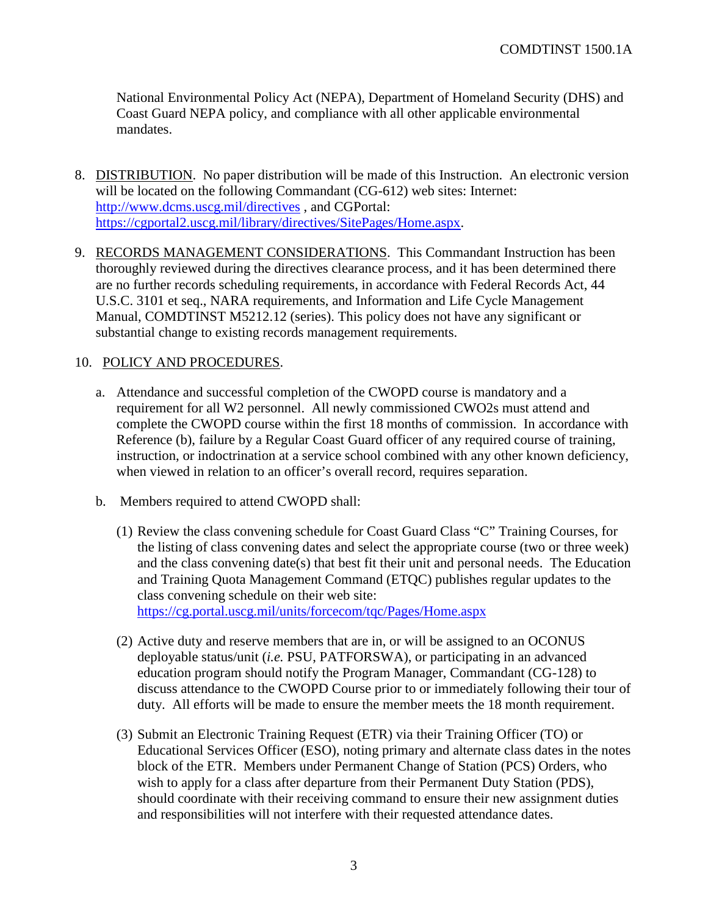National Environmental Policy Act (NEPA), Department of Homeland Security (DHS) and Coast Guard NEPA policy, and compliance with all other applicable environmental mandates.

- 8. DISTRIBUTION. No paper distribution will be made of this Instruction. An electronic version will be located on the following Commandant (CG-612) web sites: Internet: <http://www.dcms.uscg.mil/directives>, and CGPortal: [https://cgportal2.uscg.mil/library/directives/SitePages/Home.aspx.](https://cgportal2.uscg.mil/library/directives/SitePages/Home.aspx)
- 9. RECORDS MANAGEMENT CONSIDERATIONS. This Commandant Instruction has been thoroughly reviewed during the directives clearance process, and it has been determined there are no further records scheduling requirements, in accordance with Federal Records Act, 44 U.S.C. 3101 et seq., NARA requirements, and Information and Life Cycle Management Manual, COMDTINST M5212.12 (series). This policy does not have any significant or substantial change to existing records management requirements.

## 10. POLICY AND PROCEDURES.

- a. Attendance and successful completion of the CWOPD course is mandatory and a requirement for all W2 personnel. All newly commissioned CWO2s must attend and complete the CWOPD course within the first 18 months of commission. In accordance with Reference (b), failure by a Regular Coast Guard officer of any required course of training, instruction, or indoctrination at a service school combined with any other known deficiency, when viewed in relation to an officer's overall record, requires separation.
- b. Members required to attend CWOPD shall:
	- (1) Review the class convening schedule for Coast Guard Class "C" Training Courses, for the listing of class convening dates and select the appropriate course (two or three week) and the class convening date(s) that best fit their unit and personal needs. The Education and Training Quota Management Command (ETQC) publishes regular updates to the class convening schedule on their web site: <https://cg.portal.uscg.mil/units/forcecom/tqc/Pages/Home.aspx>
	- (2) Active duty and reserve members that are in, or will be assigned to an OCONUS deployable status/unit (*i.e.* PSU, PATFORSWA), or participating in an advanced education program should notify the Program Manager, Commandant (CG-128) to discuss attendance to the CWOPD Course prior to or immediately following their tour of duty. All efforts will be made to ensure the member meets the 18 month requirement.
	- (3) Submit an Electronic Training Request (ETR) via their Training Officer (TO) or Educational Services Officer (ESO), noting primary and alternate class dates in the notes block of the ETR. Members under Permanent Change of Station (PCS) Orders, who wish to apply for a class after departure from their Permanent Duty Station (PDS), should coordinate with their receiving command to ensure their new assignment duties and responsibilities will not interfere with their requested attendance dates.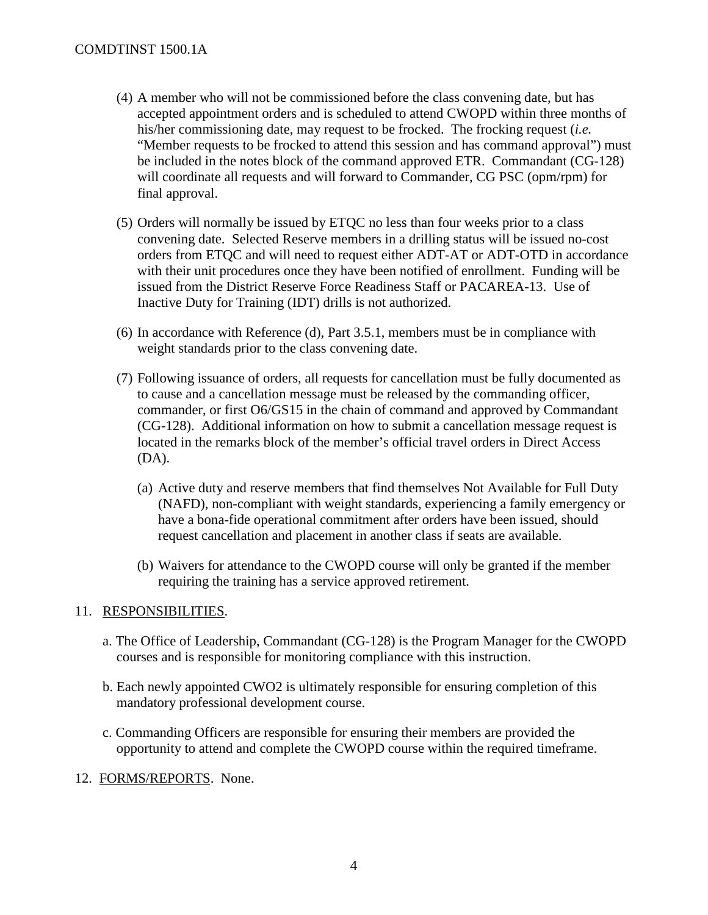#### COMDTINST 1500.1A

- (4) A member who will not be commissioned before the class convening date, but has accepted appointment orders and is scheduled to attend CWOPD within three months of his/her commissioning date, may request to be frocked. The frocking request (*i.e.* "Member requests to be frocked to attend this session and has command approval") must be included in the notes block of the command approved ETR. Commandant (CG-128) will coordinate all requests and will forward to Commander, CG PSC (opm/rpm) for final approval.
- (5) Orders will normally be issued by ETQC no less than four weeks prior to a class convening date. Selected Reserve members in a drilling status will be issued no-cost orders from ETQC and will need to request either ADT-AT or ADT-OTD in accordance with their unit procedures once they have been notified of enrollment. Funding will be issued from the District Reserve Force Readiness Staff or PACAREA-13. Use of Inactive Duty for Training (IDT) drills is not authorized.
- (6) In accordance with Reference (d), Part 3.5.1, members must be in compliance with weight standards prior to the class convening date.
- (7) Following issuance of orders, all requests for cancellation must be fully documented as to cause and a cancellation message must be released by the commanding officer, commander, or first O6/GS15 in the chain of command and approved by Commandant (CG-128). Additional information on how to submit a cancellation message request is located in the remarks block of the member's official travel orders in Direct Access (DA).
	- (a) Active duty and reserve members that find themselves Not Available for Full Duty (NAFD), non-compliant with weight standards, experiencing a family emergency or have a bona-fide operational commitment after orders have been issued, should request cancellation and placement in another class if seats are available.
	- (b) Waivers for attendance to the CWOPD course will only be granted if the member requiring the training has a service approved retirement.

#### 11. RESPONSIBILITIES.

- a. The Office of Leadership, Commandant (CG-128) is the Program Manager for the CWOPD courses and is responsible for monitoring compliance with this instruction.
- b. Each newly appointed CWO2 is ultimately responsible for ensuring completion of this mandatory professional development course.
- c. Commanding Officers are responsible for ensuring their members are provided the opportunity to attend and complete the CWOPD course within the required timeframe.
- 12. FORMS/REPORTS. None.